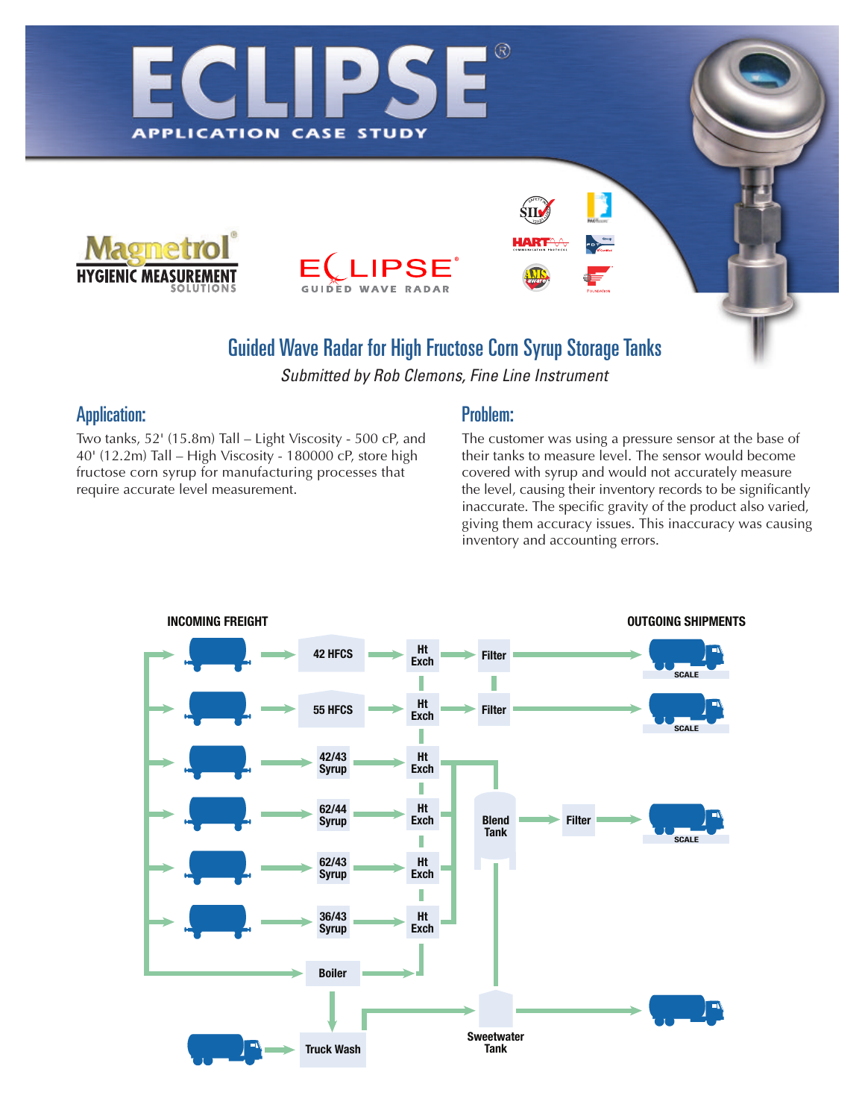

**APPLICATION** 



**STUDY** 

CASE

## **Guided Wave Radar for High Fructose Corn Syrup Storage Tanks**

*Submitted by Rob Clemons, Fine Line Instrument*

## Application:

Two tanks, 52' (15.8m) Tall – Light Viscosity - 500 cP, and 40' (12.2m) Tall – High Viscosity - 180000 cP, store high fructose corn syrup for manufacturing processes that require accurate level measurement.

### Problem:

 $\circledR$ 

The customer was using a pressure sensor at the base of their tanks to measure level. The sensor would become covered with syrup and would not accurately measure the level, causing their inventory records to be significantly inaccurate. The specific gravity of the product also varied, giving them accuracy issues. This inaccuracy was causing inventory and accounting errors.

B